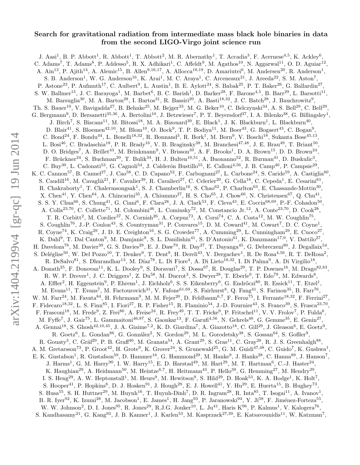# Search for gravitational radiation from intermediate mass black hole binaries in data from the second LIGO-Virgo joint science run

J. Aasi<sup>1</sup>, B. P. Abbott<sup>1</sup>, R. Abbott<sup>1</sup>, T. Abbott<sup>2</sup>, M. R. Abernathy<sup>1</sup>, T. Accadia<sup>3</sup>, F. Acernese<sup>4,5</sup>, K. Ackley<sup>6</sup>, C. Adams<sup>7</sup>, T. Adams<sup>8</sup>, P. Addesso<sup>5</sup>, R. X. Adhikari<sup>1</sup>, C. Affeldt<sup>9</sup>, M. Agathos<sup>10</sup>, N. Aggarwal<sup>11</sup>, O. D. Aguiar<sup>12</sup>, A.  $\text{Ain}^{13}$ , P. Ajith<sup>14</sup>, A. Alemic<sup>15</sup>, B. Allen<sup>9,16,17</sup>, A. Allocca<sup>18,19</sup>, D. Amariutei<sup>6</sup>, M. Andersen<sup>20</sup>, R. Anderson<sup>1</sup>, S. B. Anderson<sup>1</sup>, W. G. Anderson<sup>16</sup>, K. Arai<sup>1</sup>, M. C. Araya<sup>1</sup>, C. Arceneaux<sup>21</sup>, J. Areeda<sup>22</sup>, S. M. Aston<sup>7</sup>, P. Astone<sup>23</sup>, P. Aufmuth<sup>17</sup>, C. Aulbert<sup>9</sup>, L. Austin<sup>1</sup>, B. E. Aylott<sup>24</sup>, S. Babak<sup>25</sup>, P. T. Baker<sup>26</sup>, G. Ballardin<sup>27</sup>, S. W. Ballmer<sup>15</sup>, J. C. Barayoga<sup>1</sup>, M. Barbet<sup>6</sup>, B. C. Barish<sup>1</sup>, D. Barker<sup>28</sup>, F. Barone<sup>4,5</sup>, B. Barr<sup>29</sup>, L. Barsotti<sup>11</sup>, M. Barsuglia<sup>30</sup>, M. A. Barton<sup>28</sup>, I. Bartos<sup>31</sup>, R. Bassiri<sup>20</sup>, A. Basti<sup>18,32</sup>, J. C. Batch<sup>28</sup>, J. Bauchrowitz<sup>9</sup>, Th. S. Bauer<sup>10</sup>, V. Bavigadda<sup>27</sup>, B. Behnke<sup>25</sup>, M. Bejger<sup>33</sup>, M. G. Beker<sup>10</sup>, C. Belczynski<sup>34</sup>, A. S. Bell<sup>29</sup>, C. Bell<sup>29</sup>, G. Bergmann<sup>9</sup>, D. Bersanetti<sup>35,36</sup>, A. Bertolini<sup>10</sup>, J. Betzwieser<sup>7</sup>, P. T. Beyersdorf<sup>37</sup>, I. A. Bilenko<sup>38</sup>, G. Billingsley<sup>1</sup>, J. Birch<sup>7</sup>, S. Biscans<sup>11</sup>, M. Bitossi<sup>18</sup>, M. A. Bizouard<sup>39</sup>, E. Black<sup>1</sup>, J. K. Blackburn<sup>1</sup>, L. Blackburn<sup>40</sup>, D. Blair<sup>41</sup>, S. Bloemen<sup>42,10</sup>, M. Blom<sup>10</sup>, O. Bock<sup>9</sup>, T. P. Bodiya<sup>11</sup>, M. Boer<sup>43</sup>, G. Bogaert<sup>43</sup>, C. Bogan<sup>9</sup>, C. Bond<sup>24</sup>, F. Bondu<sup>44</sup>, L. Bonelli<sup>18,32</sup>, R. Bonnand<sup>3</sup>, R. Bork<sup>1</sup>, M. Born<sup>9</sup>, V. Boschi<sup>18</sup>, Sukanta Bose<sup>45,13</sup>, L. Bosi<sup>46</sup>, C. Bradaschia<sup>18</sup>, P. R. Brady<sup>16</sup>, V. B. Braginsky<sup>38</sup>, M. Branchesi<sup>47,48</sup>, J. E. Brau<sup>49</sup>, T. Briant<sup>50</sup>, D. O. Bridges<sup>7</sup>, A. Brillet<sup>43</sup>, M. Brinkmann<sup>9</sup>, V. Brisson<sup>39</sup>, A. F. Brooks<sup>1</sup>, D. A. Brown<sup>15</sup>, D. D. Brown<sup>24</sup>, F. Brückner<sup>24</sup>, S. Buchman<sup>20</sup>, T. Bulik<sup>34</sup>, H. J. Bulten<sup>10,51</sup>, A. Buonanno<sup>52</sup>, R. Burman<sup>41</sup>, D. Buskulic<sup>3</sup>, C. Buy<sup>30</sup>, L. Cadonati<sup>53</sup>, G. Cagnoli<sup>54</sup>, J. Calderón Bustillo<sup>55</sup>, E. Calloni<sup>4,56</sup>, J. B. Camp<sup>40</sup>, P. Campsie<sup>29</sup>, K. C. Cannon<sup>57</sup>, B. Canuel<sup>27</sup>, J. Cao<sup>58</sup>, C. D. Capano<sup>52</sup>, F. Carbognani<sup>27</sup>, L. Carbone<sup>24</sup>, S. Caride<sup>59</sup>, A. Castiglia<sup>60</sup>, S. Caudill<sup>16</sup>, M. Cavaglià<sup>21</sup>, F. Cavalier<sup>39</sup>, R. Cavalieri<sup>27</sup>, C. Celerier<sup>20</sup>, G. Cella<sup>18</sup>, C. Cepeda<sup>1</sup>, E. Cesarini<sup>61</sup>, R. Chakraborty<sup>1</sup>, T. Chalermsongsak<sup>1</sup>, S. J. Chamberlin<sup>16</sup>, S. Chao<sup>62</sup>, P. Charlton<sup>63</sup>, E. Chassande-Mottin<sup>30</sup>, X. Chen<sup>41</sup>, Y. Chen<sup>64</sup>, A. Chincarini<sup>35</sup>, A. Chiummo<sup>27</sup>, H. S. Cho<sup>65</sup>, J. Chow<sup>66</sup>, N. Christensen<sup>67</sup>, Q. Chu<sup>41</sup>, S. S. Y. Chua<sup>66</sup>, S. Chung<sup>41</sup>, G. Ciani<sup>6</sup>, F. Clara<sup>28</sup>, J. A. Clark<sup>53</sup>, F. Cleva<sup>43</sup>, E. Coccia<sup>68,69</sup>, P.-F. Cohadon<sup>50</sup>, A. Colla<sup>23,70</sup>, C. Collette<sup>71</sup>, M. Colombini<sup>46</sup>, L. Cominsky<sup>72</sup>, M. Constancio Jr.<sup>12</sup>, A. Conte<sup>23,70</sup>, D. Cook<sup>28</sup>, T. R. Corbitt<sup>2</sup>, M. Cordier<sup>37</sup>, N. Cornish<sup>26</sup>, A. Corpuz<sup>73</sup>, A. Corsi<sup>74</sup>, C. A. Costa<sup>12</sup>, M. W. Coughlin<sup>75</sup>, S. Coughlin<sup>76</sup>, J.-P. Coulon<sup>43</sup>, S. Countryman<sup>31</sup>, P. Couvares<sup>15</sup>, D. M. Coward<sup>41</sup>, M. Cowart<sup>7</sup>, D. C. Coyne<sup>1</sup>, R. Coyne<sup>74</sup>, K. Craig<sup>29</sup>, J. D. E. Creighton<sup>16</sup>, S. G. Crowder<sup>77</sup>, A. Cumming<sup>29</sup>, L. Cunningham<sup>29</sup>, E. Cuoco<sup>27</sup>, K. Dahl<sup>9</sup>, T. Dal Canton<sup>9</sup>, M. Damjanic<sup>9</sup>, S. L. Danilishin<sup>41</sup>, S. D'Antonio<sup>61</sup>, K. Danzmann<sup>17,9</sup>, V. Dattilo<sup>27</sup>, H. Daveloza<sup>78</sup>, M. Davier<sup>39</sup>, G. S. Davies<sup>29</sup>, E. J. Daw<sup>79</sup>, R. Day<sup>27</sup>, T. Dayanga<sup>45</sup>, G. Debreczeni<sup>80</sup>, J. Degallaix<sup>54</sup>, S. Deléglise<sup>50</sup>, W. Del Pozzo<sup>10</sup>, T. Denker<sup>9</sup>, T. Dent<sup>9</sup>, H. Dereli<sup>43</sup>, V. Dergachev<sup>1</sup>, R. De Rosa<sup>4,56</sup>, R. T. DeRosa<sup>2</sup>, R. DeSalvo<sup>81</sup>, S. Dhurandhar<sup>13</sup>, M. Díaz<sup>78</sup>, L. Di Fiore<sup>4</sup>, A. Di Lieto<sup>18,32</sup>, I. Di Palma<sup>9</sup>, A. Di Virgilio<sup>18</sup>, A. Donath<sup>25</sup>, F. Donovan<sup>11</sup>, K. L. Dooley<sup>9</sup>, S. Doravari<sup>7</sup>, S. Dossa<sup>67</sup>, R. Douglas<sup>29</sup>, T. P. Downes<sup>16</sup>, M. Drago<sup>82,83</sup>, R. W. P. Drever<sup>1</sup>, J. C. Driggers<sup>1</sup>, Z. Du<sup>58</sup>, M. Ducrot<sup>3</sup>, S. Dwyer<sup>28</sup>, T. Eberle<sup>9</sup>, T. Edo<sup>79</sup>, M. Edwards<sup>8</sup>, A. Effler<sup>2</sup>, H. Eggenstein<sup>9</sup>, P. Ehrens<sup>1</sup>, J. Eichholz<sup>6</sup>, S. S. Eikenberry<sup>6</sup>, G. Endrőczi<sup>80</sup>, R. Essick<sup>11</sup>, T. Etzel<sup>1</sup>, M. Evans<sup>11</sup>, T. Evans<sup>7</sup>, M. Factourovich<sup>31</sup>, V. Fafone<sup>61,69</sup>, S. Fairhurst<sup>8</sup>, Q. Fang<sup>41</sup>, S. Farinon<sup>35</sup>, B. Farr<sup>76</sup>, W. M. Farr<sup>24</sup>, M. Favata<sup>84</sup>, H. Fehrmann<sup>9</sup>, M. M. Fejer<sup>20</sup>, D. Feldbaum<sup>6,7</sup>, F. Feroz<sup>75</sup>, I. Ferrante<sup>18,32</sup>, F. Ferrini<sup>27</sup>, F. Fidecaro<sup>18,32</sup>, L. S. Finn<sup>85</sup>, I. Fiori<sup>27</sup>, R. P. Fisher<sup>15</sup>, R. Flaminio<sup>54</sup>, J.-D. Fournier<sup>43</sup>, S. Franco<sup>39</sup>, S. Frasca<sup>23,70</sup>, F. Frasconi<sup>18</sup>, M. Frede<sup>9</sup>, Z. Frei<sup>86</sup>, A. Freise<sup>24</sup>, R. Frey<sup>49</sup>, T. T. Fricke<sup>9</sup>, P. Fritschel<sup>11</sup>, V. V. Frolov<sup>7</sup>, P. Fulda<sup>6</sup>, M. Fyffe<sup>7</sup>, J. Gair<sup>75</sup>, L. Gammaitoni<sup>46,87</sup>, S. Gaonkar<sup>13</sup>, F. Garufi<sup>4,56</sup>, N. Gehrels<sup>40</sup>, G. Gemme<sup>35</sup>, E. Genin<sup>27</sup>, A. Gennai<sup>18</sup>, S. Ghosh<sup>42,10,45</sup>, J. A. Giaime<sup>7,2</sup>, K. D. Giardina<sup>7</sup>, A. Giazotto<sup>18</sup>, C. Gill<sup>29</sup>, J. Gleason<sup>6</sup>, E. Goetz<sup>9</sup>, R. Goetz<sup>6</sup>, L. Gondan<sup>86</sup>, G. González<sup>2</sup>, N. Gordon<sup>29</sup>, M. L. Gorodetsky<sup>38</sup>, S. Gossan<sup>64</sup>, S. Goßler<sup>9</sup>, R. Gouaty<sup>3</sup>, C. Gräf<sup>29</sup>, P. B. Graff<sup>40</sup>, M. Granata<sup>54</sup>, A. Grant<sup>29</sup>, S. Gras<sup>11</sup>, C. Gray<sup>28</sup>, R. J. S. Greenhalgh<sup>88</sup>, A. M. Gretarsson<sup>73</sup>, P. Groot<sup>42</sup>, H. Grote<sup>9</sup>, K. Grover<sup>24</sup>, S. Grunewald<sup>25</sup>, G. M. Guidi<sup>47,48</sup>, C. Guido<sup>7</sup>, K. Gushwa<sup>1</sup>, E. K. Gustafson<sup>1</sup>, R. Gustafson<sup>59</sup>, D. Hammer<sup>16</sup>, G. Hammond<sup>29</sup>, M. Hanke<sup>9</sup>, J. Hanks<sup>28</sup>, C. Hanna<sup>89</sup>, J. Hanson<sup>7</sup>, J. Harms<sup>1</sup>, G. M. Harry<sup>90</sup>, I. W. Harry<sup>15</sup>, E. D. Harstad<sup>49</sup>, M. Hart<sup>29</sup>, M. T. Hartman<sup>6</sup>, C.-J. Haster<sup>24</sup>, K. Haughian<sup>29</sup>, A. Heidmann<sup>50</sup>, M. Heintze<sup>6,7</sup>, H. Heitmann<sup>43</sup>, P. Hello<sup>39</sup>, G. Hemming<sup>27</sup>, M. Hendry<sup>29</sup>, I. S. Heng<sup>29</sup>, A. W. Heptonstall<sup>1</sup>, M. Heurs<sup>9</sup>, M. Hewitson<sup>9</sup>, S. Hild<sup>29</sup>, D. Hoak<sup>53</sup>, K. A. Hodge<sup>1</sup>, K. Holt<sup>7</sup>, S. Hooper<sup>41</sup>, P. Hopkins<sup>8</sup>, D. J. Hosken<sup>91</sup>, J. Hough<sup>29</sup>, E. J. Howell<sup>41</sup>, Y. Hu<sup>29</sup>, E. Huerta<sup>15</sup>, B. Hughey<sup>73</sup>, S. Husa<sup>55</sup>, S. H. Huttner<sup>29</sup>, M. Huynh<sup>16</sup>, T. Huynh-Dinh<sup>7</sup>, D. R. Ingram<sup>28</sup>, R. Inta<sup>85</sup>, T. Isogai<sup>11</sup>, A. Ivanov<sup>1</sup>, B. R. Iyer<sup>92</sup>, K. Izumi<sup>28</sup>, M. Jacobson<sup>1</sup>, E. James<sup>1</sup>, H. Jang<sup>93</sup>, P. Jaranowski<sup>94</sup>, Y. Ji<sup>58</sup>, F. Jiménez-Forteza<sup>55</sup>, W. W. Johnson<sup>2</sup>, D. I. Jones<sup>95</sup>, R. Jones<sup>29</sup>, R.J.G. Jonker<sup>10</sup>, L. Ju<sup>41</sup>, Haris K<sup>96</sup>, P. Kalmus<sup>1</sup>, V. Kalogera<sup>76</sup>, S. Kandhasamy<sup>21</sup>, G. Kang<sup>93</sup>, J. B. Kanner<sup>1</sup>, J. Karlen<sup>53</sup>, M. Kasprzack<sup>27,39</sup>, E. Katsavounidis<sup>11</sup>, W. Katzman<sup>7</sup>,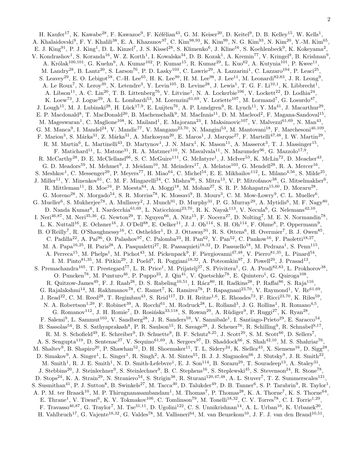H. Kaufer<sup>17</sup>, K. Kawabe<sup>28</sup>, F. Kawazoe<sup>9</sup>, F. Kéfélian<sup>43</sup>, G. M. Keiser<sup>20</sup>, D. Keitel<sup>9</sup>, D. B. Kelley<sup>15</sup>, W. Kells<sup>1</sup>, A. Khalaidovski<sup>9</sup>, F. Y. Khalili<sup>38</sup>, E. A. Khazanov<sup>97</sup>, C. Kim<sup>98,93</sup>, K. Kim<sup>99</sup>, N. G. Kim<sup>93</sup>, N. Kim<sup>20</sup>, Y.-M. Kim<sup>65</sup>, E. J. King<sup>91</sup>, P. J. King<sup>1</sup>, D. L. Kinzel<sup>7</sup>, J. S. Kissel<sup>28</sup>, S. Klimenko<sup>6</sup>, J. Kline<sup>16</sup>, S. Koehlenbeck<sup>9</sup>, K. Kokeyama<sup>2</sup>, V. Kondrashov<sup>1</sup>, S. Koranda<sup>16</sup>, W. Z. Korth<sup>1</sup>, I. Kowalska<sup>34</sup>, D. B. Kozak<sup>1</sup>, A. Kremin<sup>77</sup>, V. Kringel<sup>9</sup>, B. Krishnan<sup>9</sup>, A. Królak<sup>100,101</sup>, G. Kuehn<sup>9</sup>, A. Kumar<sup>102</sup>, P. Kumar<sup>15</sup>, R. Kumar<sup>29</sup>, L. Kuo<sup>62</sup>, A. Kutynia<sup>101</sup>, P. Kwee<sup>11</sup>, M. Landry<sup>28</sup>, B. Lantz<sup>20</sup>, S. Larson<sup>76</sup>, P. D. Lasky<sup>103</sup>, C. Lawrie<sup>29</sup>, A. Lazzarini<sup>1</sup>, C. Lazzaro<sup>104</sup>, P. Leaci<sup>25</sup>, S. Leavey<sup>29</sup>, E. O. Lebigot<sup>58</sup>, C.-H. Lee<sup>65</sup>, H. K. Lee<sup>99</sup>, H. M. Lee<sup>98</sup>, J. Lee<sup>11</sup>, M. Leonardi<sup>82,83</sup>, J. R. Leong<sup>9</sup>, A. Le Roux<sup>7</sup>, N. Leroy<sup>39</sup>, N. Letendre<sup>3</sup>, Y. Levin<sup>105</sup>, B. Levine<sup>28</sup>, J. Lewis<sup>1</sup>, T. G. F. Li<sup>10,1</sup>, K. Libbrecht<sup>1</sup>, A. Libson<sup>11</sup>, A. C. Lin<sup>20</sup>, T. B. Littenberg<sup>76</sup>, V. Litvine<sup>1</sup>, N. A. Lockerbie<sup>106</sup>, V. Lockett<sup>22</sup>, D. Lodhia<sup>24</sup>, K. Loew<sup>73</sup>, J. Logue<sup>29</sup>, A. L. Lombardi<sup>53</sup>, M. Lorenzini<sup>61,69</sup>, V. Loriette<sup>107</sup>, M. Lormand<sup>7</sup>, G. Losurdo<sup>47</sup>, J. Lough<sup>15</sup>, M. J. Lubinski<sup>28</sup>, H. Lück<sup>17,9</sup>, E. Luijten<sup>76</sup>, A. P. Lundgren<sup>9</sup>, R. Lynch<sup>11</sup>, Y. Ma<sup>41</sup>, J. Macarthur<sup>29</sup>, E. P. Macdonald<sup>8</sup>, T. MacDonald<sup>20</sup>, B. Machenschalk<sup>9</sup>, M. MacInnis<sup>11</sup>, D. M. Macleod<sup>2</sup>, F. Magana-Sandoval<sup>15</sup>, M. Mageswaran<sup>1</sup>, C. Maglione<sup>108</sup>, K. Mailand<sup>1</sup>, E. Majorana<sup>23</sup>, I. Maksimovic<sup>107</sup>, V. Malvezzi<sup>61,69</sup>, N. Man<sup>43</sup>, G. M. Manca<sup>9</sup>, I. Mandel<sup>24</sup>, V. Mandic<sup>77</sup>, V. Mangano<sup>23,70</sup>, N. Mangini<sup>53</sup>, M. Mantovani<sup>18</sup>, F. Marchesoni<sup>46,109</sup>, F. Marion<sup>3</sup>, S. Márka<sup>31</sup>, Z. Márka<sup>31</sup>, A. Markosyan<sup>20</sup>, E. Maros<sup>1</sup>, J. Marque<sup>27</sup>, F. Martelli<sup>47,48</sup>, I. W. Martin<sup>29</sup>, R. M. Martin<sup>6</sup>, L. Martinelli<sup>43</sup>, D. Martynov<sup>1</sup>, J. N. Marx<sup>1</sup>, K. Mason<sup>11</sup>, A. Masserot<sup>3</sup>, T. J. Massinger<sup>15</sup>, F. Matichard<sup>11</sup>, L. Matone<sup>31</sup>, R. A. Matzner<sup>110</sup>, N. Mavalvala<sup>11</sup>, N. Mazumder<sup>96</sup>, G. Mazzolo<sup>17,9</sup>, R. McCarthy<sup>28</sup>, D. E. McClelland<sup>66</sup>, S. C. McGuire<sup>111</sup>, G. McIntyre<sup>1</sup>, J. McIver<sup>53</sup>, K. McLin<sup>72</sup>, D. Meacher<sup>43</sup>, G. D. Meadors<sup>59</sup>, M. Mehmet<sup>9</sup>, J. Meidam<sup>10</sup>, M. Meinders<sup>17</sup>, A. Melatos<sup>103</sup>, G. Mendell<sup>28</sup>, R. A. Mercer<sup>16</sup>, S. Meshkov<sup>1</sup>, C. Messenger<sup>29</sup>, P. Meyers<sup>77</sup>, H. Miao<sup>64</sup>, C. Michel<sup>54</sup>, E. E. Mikhailov<sup>112</sup>, L. Milano<sup>4,56</sup>, S. Milde<sup>25</sup> , J. Miller<sup>11</sup>, Y. Minenkov<sup>61</sup>, C. M. F. Mingarelli<sup>24</sup>, C. Mishra<sup>96</sup>, S. Mitra<sup>13</sup>, V. P. Mitrofanov<sup>38</sup>, G. Mitselmakher<sup>6</sup>, R. Mittleman<sup>11</sup>, B. Moe<sup>16</sup>, P. Moesta<sup>64</sup>, A. Moggi<sup>18</sup>, M. Mohan<sup>27</sup>, S. R. P. Mohapatra<sup>15,60</sup>, D. Moraru<sup>28</sup>, G. Moreno<sup>28</sup>, N. Morgado<sup>54</sup>, S. R. Morriss<sup>78</sup>, K. Mossavi<sup>9</sup>, B. Mours<sup>3</sup>, C. M. Mow-Lowry<sup>9</sup>, C. L. Mueller<sup>6</sup>, G. Mueller<sup>6</sup>, S. Mukherjee<sup>78</sup>, A. Mullavey<sup>2</sup>, J. Munch<sup>91</sup>, D. Murphy<sup>31</sup>, P. G. Murray<sup>29</sup>, A. Mytidis<sup>6</sup>, M. F. Nagy<sup>80</sup>, D. Nanda Kumar<sup>6</sup>, I. Nardecchia<sup>61,69</sup>, L. Naticchioni<sup>23,70</sup>, R. K. Nayak<sup>113</sup>, V. Necula<sup>6</sup>, G. Nelemans<sup>42,10</sup>, I. Neri<sup>46,87</sup>, M. Neri<sup>35,36</sup>, G. Newton<sup>29</sup>, T. Nguyen<sup>66</sup>, A. Nitz<sup>15</sup>, F. Nocera<sup>27</sup>, D. Nolting<sup>7</sup>, M. E. N. Normandin<sup>78</sup>, L. K. Nuttall<sup>16</sup>, E. Ochsner<sup>16</sup>, J. O'Dell<sup>88</sup>, E. Oelker<sup>11</sup>, J. J. Oh<sup>114</sup>, S. H. Oh<sup>114</sup>, F. Ohme<sup>8</sup>, P. Oppermann<sup>9</sup>, B. O'Reilly<sup>7</sup>, R. O'Shaughnessy<sup>16</sup>, C. Osthelder<sup>1</sup>, D. J. Ottaway<sup>91</sup>, R. S. Ottens<sup>6</sup>, H. Overmier<sup>7</sup>, B. J. Owen<sup>85</sup>, C. Padilla<sup>22</sup>, A. Pai<sup>96</sup>, O. Palashov<sup>97</sup>, C. Palomba<sup>23</sup>, H. Pan<sup>62</sup>, Y. Pan<sup>52</sup>, C. Pankow<sup>16</sup>, F. Paoletti<sup>18,27</sup>, M. A. Papa<sup>16,25</sup>, H. Paris<sup>28</sup>, A. Pasqualetti<sup>27</sup>, R. Passaquieti<sup>18,32</sup>, D. Passuello<sup>18</sup>, M. Pedraza<sup>1</sup>, S. Penn<sup>115</sup>, A. Perreca<sup>15</sup>, M. Phelps<sup>1</sup>, M. Pichot<sup>43</sup>, M. Pickenpack<sup>9</sup>, F. Piergiovanni<sup>47,48</sup>, V. Pierro<sup>81,35</sup>, L. Pinard<sup>54</sup>, I. M. Pinto<sup>81,35</sup>, M. Pitkin<sup>29</sup>, J. Poeld<sup>9</sup>, R. Poggiani<sup>18,32</sup>, A. Poteomkin<sup>97</sup>, J. Powell<sup>29</sup>, J. Prasad<sup>13</sup>, S. Premachandra<sup>105</sup>, T. Prestegard<sup>77</sup>, L. R. Price<sup>1</sup>, M. Prijatelj<sup>27</sup>, S. Privitera<sup>1</sup>, G. A. Prodi<sup>82,83</sup>, L. Prokhorov<sup>38</sup>, O. Puncken<sup>78</sup>, M. Punturo<sup>46</sup>, P. Puppo<sup>23</sup>, J. Qin<sup>41</sup>, V. Quetschke<sup>78</sup>, E. Quintero<sup>1</sup>, G. Quiroga<sup>108</sup>, R. Quitzow-James<sup>49</sup>, F. J. Raab<sup>28</sup>, D. S. Rabeling<sup>10,51</sup>, I. Rácz<sup>80</sup>, H. Radkins<sup>28</sup>, P. Raffai<sup>86</sup>, S. Raja<sup>116</sup>, G. Rajalakshmi<sup>14</sup>, M. Rakhmanov<sup>78</sup>, C. Ramet<sup>7</sup>, K. Ramirez<sup>78</sup>, P. Rapagnani<sup>23,70</sup>, V. Raymond<sup>1</sup>, V. Re<sup>61,69</sup>, J. Read<sup>22</sup>, C. M. Reed<sup>28</sup>, T. Regimbau<sup>43</sup>, S. Reid<sup>117</sup>, D. H. Reitze<sup>1,6</sup>, E. Rhoades<sup>73</sup>, F. Ricci<sup>23,70</sup>, K. Riles<sup>59</sup>, N. A. Robertson<sup>1,29</sup>, F. Robinet<sup>39</sup>, A. Rocchi<sup>61</sup>, M. Rodruck<sup>28</sup>, L. Rolland<sup>3</sup>, J. G. Rollins<sup>1</sup>, R. Romano<sup>4,5</sup>, G. Romanov<sup>112</sup>, J. H. Romie<sup>7</sup>, D. Rosińska<sup>33,118</sup>, S. Rowan<sup>29</sup>, A. Rüdiger<sup>9</sup>, P. Ruggi<sup>27</sup>, K. Ryan<sup>28</sup>, F. Salemi<sup>9</sup>, L. Sammut<sup>103</sup>, V. Sandberg<sup>28</sup>, J. R. Sanders<sup>59</sup>, V. Sannibale<sup>1</sup>, I. Santiago-Prieto<sup>29</sup>, E. Saracco<sup>54</sup>, B. Sassolas<sup>54</sup>, B. S. Sathyaprakash<sup>8</sup>, P. R. Saulson<sup>15</sup>, R. Savage<sup>28</sup>, J. Scheuer<sup>76</sup>, R. Schilling<sup>9</sup>, R. Schnabel<sup>9,17</sup>, R. M. S. Schofield<sup>49</sup>, E. Schreiber<sup>9</sup>, D. Schuette<sup>9</sup>, B. F. Schutz<sup>8,25</sup>, J. Scott<sup>29</sup>, S. M. Scott<sup>66</sup>, D. Sellers<sup>7</sup>, A. S. Sengupta<sup>119</sup>, D. Sentenac<sup>27</sup>, V. Sequino<sup>61,69</sup>, A. Sergeev<sup>97</sup>, D. Shaddock<sup>66</sup>, S. Shah<sup>42,10</sup>, M. S. Shahriar<sup>76</sup> , M. Shaltev<sup>9</sup>, B. Shapiro<sup>20</sup>, P. Shawhan<sup>52</sup>, D. H. Shoemaker<sup>11</sup>, T. L. Sidery<sup>24</sup>, K. Siellez<sup>43</sup>, X. Siemens<sup>16</sup>, D. Sigg<sup>28</sup> , D. Simakov<sup>9</sup>, A. Singer<sup>1</sup>, L. Singer<sup>1</sup>, R. Singh<sup>2</sup>, A. M. Sintes<sup>55</sup>, B. J. J. Slagmolen<sup>66</sup>, J. Slutsky<sup>9</sup>, J. R. Smith<sup>22</sup>, M. Smith<sup>1</sup>, R. J. E. Smith<sup>1</sup>, N. D. Smith-Lefebvre<sup>1</sup>, E. J. Son<sup>114</sup>, B. Sorazu<sup>29</sup>, T. Souradeep<sup>13</sup>, A. Staley<sup>31</sup>, J. Stebbins<sup>20</sup>, J. Steinlechner<sup>9</sup>, S. Steinlechner<sup>9</sup>, B. C. Stephens<sup>16</sup>, S. Steplewski<sup>45</sup>, S. Stevenson<sup>24</sup>, R. Stone<sup>78</sup>, D. Stops<sup>24</sup>, K. A. Strain<sup>29</sup>, N. Straniero<sup>54</sup>, S. Strigin<sup>38</sup>, R. Sturani<sup>120,47,48</sup>, A. L. Stuver<sup>7</sup>, T. Z. Summerscales<sup>121</sup>, S. Susmithan<sup>41</sup>, P. J. Sutton<sup>8</sup>, B. Swinkels<sup>27</sup>, M. Tacca<sup>30</sup>, D. Talukder<sup>49</sup>, D. B. Tanner<sup>6</sup>, S. P. Tarabrin<sup>9</sup>, R. Taylor<sup>1</sup>, A. P. M. ter Braack<sup>10</sup>, M. P. Thirugnanasambandam<sup>1</sup>, M. Thomas<sup>7</sup>, P. Thomas<sup>28</sup>, K. A. Thorne<sup>7</sup>, K. S. Thorne<sup>64</sup>, E. Thrane<sup>1</sup>, V. Tiwari<sup>6</sup>, K. V. Tokmakov<sup>106</sup>, C. Tomlinson<sup>79</sup>, M. Tonelli<sup>18,32</sup>, C. V. Torres<sup>78</sup>, C. I. Torrie<sup>1,29</sup>, F. Travasso<sup>46,87</sup>, G. Traylor<sup>7</sup>, M. Tse<sup>31,11</sup>, D. Ugolini<sup>122</sup>, C. S. Unnikrishnan<sup>14</sup>, A. L. Urban<sup>16</sup>, K. Urbanek<sup>20</sup>, H. Vahlbruch<sup>17</sup>, G. Vajente<sup>18,32</sup>, G. Valdes<sup>78</sup>, M. Vallisneri<sup>64</sup>, M. van Beuzekom<sup>10</sup>, J. F. J. van den Brand<sup>10,51</sup>,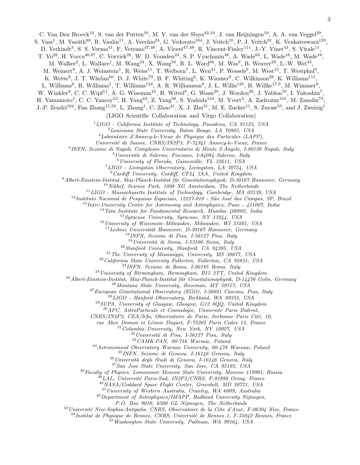C. Van Den Broeck<sup>10</sup>, S. van der Putten<sup>10</sup>, M. V. van der Sluys<sup>42,10</sup>, J. van Heijningen<sup>10</sup>, A. A. van Veggel<sup>29</sup>,

S. Vass<sup>1</sup>, M. Vasúth<sup>80</sup>, R. Vaulin<sup>11</sup>, A. Vecchio<sup>24</sup>, G. Vedovato<sup>104</sup>, J. Veitch<sup>10</sup>, P. J. Veitch<sup>91</sup>, K. Venkateswara<sup>123</sup>,

D. Verkindt<sup>3</sup>, S. S. Verma<sup>41</sup>, F. Vetrano<sup>47,48</sup>, A. Viceré<sup>47,48</sup>, R. Vincent-Finley<sup>111</sup>, J.-Y. Vinet<sup>43</sup>, S. Vitale<sup>11</sup>,

T. Vo<sup>28</sup>, H. Vocca<sup>46,87</sup>, C. Vorvick<sup>28</sup>, W. D. Vousden<sup>24</sup>, S. P. Vyachanin<sup>38</sup>, A. Wade<sup>66</sup>, L. Wade<sup>16</sup>, M. Wade<sup>16</sup>,

M. Walker<sup>2</sup>, L. Wallace<sup>1</sup>, M. Wang<sup>24</sup>, X. Wang<sup>58</sup>, R. L. Ward<sup>66</sup>, M. Was<sup>9</sup>, B. Weaver<sup>28</sup>, L.-W. Wei<sup>43</sup>,

M. Weinert<sup>9</sup>, A. J. Weinstein<sup>1</sup>, R. Weiss<sup>11</sup>, T. Welborn<sup>7</sup>, L. Wen<sup>41</sup>, P. Wessels<sup>9</sup>, M. West<sup>15</sup>, T. Westphal<sup>9</sup>,

K. Wette<sup>9</sup>, J. T. Whelan<sup>60</sup>, D. J. White<sup>79</sup>, B. F. Whiting<sup>6</sup>, K. Wiesner<sup>9</sup>, C. Wilkinson<sup>28</sup>, K. Williams<sup>111</sup>,

L. Williams<sup>6</sup>, R. Williams<sup>1</sup>, T. Williams<sup>124</sup>, A. R. Williamson<sup>8</sup>, J. L. Willis<sup>125</sup>, B. Willke<sup>17,9</sup>, M. Wimmer<sup>9</sup>,

W. Winkler<sup>9</sup>, C. C. Wipf<sup>11</sup>, A. G. Wiseman<sup>16</sup>, H. Wittel<sup>9</sup>, G. Woan<sup>29</sup>, J. Worden<sup>28</sup>, J. Yablon<sup>76</sup>, I. Yakushin<sup>7</sup>,

H. Yamamoto<sup>1</sup>, C. C. Yancey<sup>52</sup>, H. Yang<sup>64</sup>, Z. Yang<sup>58</sup>, S. Yoshida<sup>124</sup>, M. Yvert<sup>3</sup>, A. Zadrożny<sup>101</sup>, M. Zanolin<sup>73</sup>,

J.-P. Zendri<sup>104</sup>, Fan Zhang<sup>11,58</sup>, L. Zhang<sup>1</sup>, C. Zhao<sup>41</sup>, X. J. Zhu<sup>41</sup>, M. E. Zucker<sup>11</sup>, S. Zuraw<sup>53</sup>, and J. Zweizig<sup>1</sup>

(LIGO Scientific Collaboration and Virgo Collaboration)

 $1 LIGO$  - California Institute of Technology, Pasadena, CA 91125, USA

<sup>2</sup>Louisiana State University, Baton Rouge, LA 70803, USA

<sup>3</sup>Laboratoire d'Annecy-le-Vieux de Physique des Particules (LAPP),

Universit´e de Savoie, CNRS/IN2P3, F-74941 Annecy-le-Vieux, France

4 INFN, Sezione di Napoli, Complesso Universitario di Monte S.Angelo, I-80126 Napoli, Italy

 $5$ Università di Salerno, Fisciano, I-84084 Salerno, Italy

 $^6$ University of Florida, Gainesville, FL 32611, USA

<sup>7</sup>LIGO - Livingston Observatory, Livingston, LA 70754, USA

<sup>8</sup>Cardiff University, Cardiff, CF24 3AA, United Kingdom

 $^{9}$ Albert-Einstein-Institut, Max-Planck-Institut für Gravitationsphysik, D-30167 Hannover, Germany

 $10$ Nikhef, Science Park, 1098 XG Amsterdam, The Netherlands

 $11$ LIGO - Massachusetts Institute of Technology, Cambridge, MA 02139, USA

 $12$ Instituto Nacional de Pesquisas Espaciais, 12227-010 - São José dos Campos, SP, Brazil

 $13$ Inter-University Centre for Astronomy and Astrophysics, Pune - 411007, India

 $14$ Tata Institute for Fundamental Research, Mumbai 400005, India

<sup>15</sup>Syracuse University, Syracuse, NY 13244, USA

 $16$ University of Wisconsin–Milwaukee, Milwaukee, WI 53201, USA

 $17$ Leibniz Universität Hannover, D-30167 Hannover, Germany

<sup>18</sup>INFN, Sezione di Pisa, I-56127 Pisa, Italy

 $19$ Università di Siena, I-53100 Siena, Italy <sup>20</sup>Stanford University, Stanford, CA 94305, USA

 $^{21}$ The University of Mississippi, University, MS 38677, USA

<sup>22</sup>California State University Fullerton, Fullerton, CA 92831, USA

<sup>23</sup>INFN, Sezione di Roma, I-00185 Roma, Italy

 $^{24}$ University of Birmingham, Birmingham, B15 2TT, United Kingdom

 $^{25}$ Albert-Einstein-Institut, Max-Planck-Institut für Gravitationsphysik, D-14476 Golm, Germany

<sup>26</sup>Montana State University, Bozeman, MT 59717, USA

 $^{27}$ European Gravitational Observatory (EGO), I-56021 Cascina, Pisa, Italy

 $^{28}LIGO$  - Hanford Observatory, Richland, WA 99352, USA

 $^{29}$  SUPA, University of Glasgow, Glasgow, G12 8QQ, United Kingdom

 $30^3$ APC, AstroParticule et Cosmologie, Université Paris Diderot,

CNRS/IN2P3, CEA/Irfu, Observatoire de Paris, Sorbonne Paris Cité, 10,

rue Alice Domon et Léonie Duquet, F-75205 Paris Cedex 13, France

 $31$ Columbia University, New York, NY 10027, USA

 $32$ Università di Pisa, I-56127 Pisa, Italy

 $^{33}$  CAMK-PAN,  $\emph{00-716}$  Warsaw, Poland

<sup>34</sup>Astronomical Observatory Warsaw University, 00-478 Warsaw, Poland

<sup>35</sup>INFN, Sezione di Genova, I-16146 Genova, Italy

 $36$ Università degli Studi di Genova, I-16146 Genova, Italy

<sup>37</sup>San Jose State University, San Jose, CA 95192, USA

<sup>38</sup>Faculty of Physics, Lomonosov Moscow State University, Moscow 119991, Russia

LAL, Université Paris-Sud, IN2P3/CNRS, F-91898 Orsay, France

<sup>40</sup>NASA/Goddard Space Flight Center, Greenbelt, MD 20771, USA

<sup>41</sup>University of Western Australia, Crawley, WA 6009, Australia

<sup>42</sup>Department of Astrophysics/IMAPP, Radboud University Nijmegen,

P.O. Box 9010, 6500 GL Nijmegen, The Netherlands

 $^{43}$ Université Nice-Sophia-Antipolis, CNRS, Observatoire de la Côte d'Azur, F-06304 Nice, France

 $^{44}$ Institut de Physique de Rennes, CNRS, Université de Rennes 1, F-35042 Rennes, France

 $^{45}$ Washington State University, Pullman, WA 99164, USA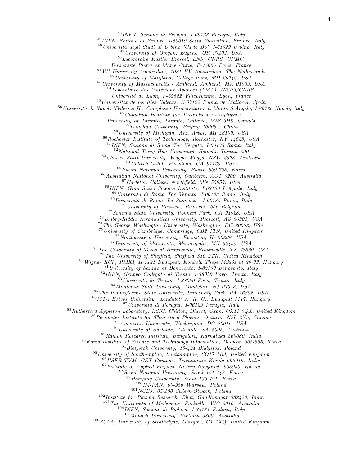INFN, Sezione di Perugia, I-06123 Perugia, Italy

INFN, Sezione di Firenze, I-50019 Sesto Fiorentino, Firenze, Italy

<sup>48</sup> Università degli Studi di Urbino 'Carlo Bo', I-61029 Urbino, Italy

University of Oregon, Eugene, OR 97403, USA

Laboratoire Kastler Brossel, ENS, CNRS, UPMC,

Universit´e Pierre et Marie Curie, F-75005 Paris, France

VU University Amsterdam, 1081 HV Amsterdam, The Netherlands

University of Maryland, College Park, MD 20742, USA

University of Massachusetts - Amherst, Amherst, MA 01003, USA

Laboratoire des Matériaux Avancés (LMA), IN2P3/CNRS,

Universit´e de Lyon, F-69622 Villeurbanne, Lyon, France

Universitat de les Illes Balears, E-07122 Palma de Mallorca, Spain

<sup>56</sup> Università di Napoli 'Federico II', Complesso Universitario di Monte S.Angelo, I-80126 Napoli, Italy

Canadian Institute for Theoretical Astrophysics,

University of Toronto, Toronto, Ontario, M5S 3H8, Canada

Tsinghua University, Beijing 100084, China

University of Michigan, Ann Arbor, MI 48109, USA

Rochester Institute of Technology, Rochester, NY 14623, USA

INFN, Sezione di Roma Tor Vergata, I-00133 Roma, Italy

National Tsing Hua University, Hsinchu Taiwan 300

Charles Sturt University, Wagga Wagga, NSW 2678, Australia Caltech-CaRT, Pasadena, CA 91125, USA

 $65Pusan National University, Busan 609-735, Korea$ 

Australian National University, Canberra, ACT 0200, Australia

Carleton College, Northfield, MN 55057, USA

INFN, Gran Sasso Science Institute, I-67100 L'Aquila, Italy

Università di Roma Tor Vergata, I-00133 Roma, Italy

Università di Roma 'La Sapienza', I-00185 Roma, Italy

University of Brussels, Brussels 1050 Belgium

Sonoma State University, Rohnert Park, CA 94928, USA Embry-Riddle Aeronautical University, Prescott, AZ 86301, USA

The George Washington University, Washington, DC 20052, USA

University of Cambridge, Cambridge, CB2 1TN, United Kingdom

<sup>76</sup>Northwestern University, Evanston, IL 60208, USA

University of Minnesota, Minneapolis, MN 55455, USA

The University of Texas at Brownsville, Brownsville, TX 78520, USA

The University of Sheffield, Sheffield S10 2TN, United Kingdom

Wigner RCP, RMKI, H-1121 Budapest, Konkoly Thege Miklós út 29-33, Hungary

University of Sannio at Benevento, I-82100 Benevento, Italy

INFN, Gruppo Collegato di Trento, I-38050 Povo, Trento, Italy

Università di Trento, I-38050 Povo, Trento, Italy

Montclair State University, Montclair, NJ 07043, USA

The Pennsylvania State University, University Park, PA 16802, USA

86 MTA Eötvös University, 'Lendulet' A. R. G., Budapest 1117, Hungary

<sup>87</sup> Università di Perugia, I-06123 Perugia, Italy

Rutherford Appleton Laboratory, HSIC, Chilton, Didcot, Oxon, OX11 0QX, United Kingdom

Perimeter Institute for Theoretical Physics, Ontario, N2L 2Y5, Canada

American University, Washington, DC 20016, USA

University of Adelaide, Adelaide, SA 5005, Australia

Raman Research Institute, Bangalore, Karnataka 560080, India

Korea Institute of Science and Technology Information, Daejeon  $305$ -806, Korea

Białystok University, 15-424 Białystok, Poland

University of Southampton, Southampton, SO17 1BJ, United Kingdom

IISER-TVM, CET Campus, Trivandrum Kerala 695016, India

<sup>97</sup> Institute of Applied Physics, Nizhny Novgorod, 603950, Russia

Seoul National University, Seoul 151-742, Korea

Hanyang University, Seoul 133-791, Korea

IM-PAN, 00-956 Warsaw, Poland

NCBJ, 05-400 Swierk-Otwock, Poland

Institute for Plasma Research, Bhat, Gandhinagar 382428, India

The University of Melbourne, Parkville, VIC 3010, Australia

INFN, Sezione di Padova, I-35131 Padova, Italy

Monash University, Victoria 3800, Australia

SUPA, University of Strathclyde, Glasgow, G1 1XQ, United Kingdom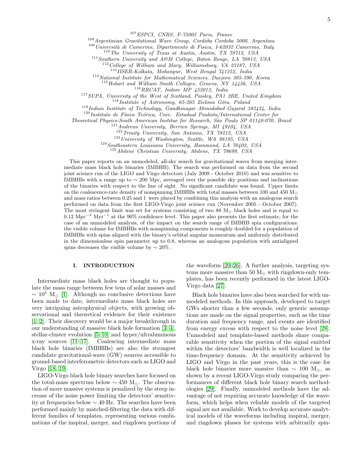<sup>107</sup>ESPCI, CNRS, F-75005 Paris, France

<sup>108</sup>Argentinian Gravitational Wave Group, Cordoba Cordoba 5000, Argentina

 $109$ Università di Camerino, Dipartimento di Fisica, I-62032 Camerino, Italy

110 The University of Texas at Austin, Austin, TX 78712, USA

<sup>111</sup>Southern University and A&M College, Baton Rouge, LA 70813, USA

 $12$ College of William and Mary, Williamsburg, VA 23187, USA

<sup>113</sup>IISER-Kolkata, Mohanpur, West Bengal 741252, India

<sup>114</sup>National Institute for Mathematical Sciences, Daejeon 305-390, Korea

<sup>115</sup>Hobart and William Smith Colleges, Geneva, NY 14456, USA

 $^{116}RRCAT, \$  Indore $\ \dot{MP} \$  452013, India

<sup>117</sup>SUPA, University of the West of Scotland, Paisley, PA1 2BE, United Kingdom

 $118$  Institute of Astronomy, 65-265 Zielona Góra, Poland

<sup>119</sup>Indian Institute of Technology, Gandhinagar Ahmedabad Gujarat 382424, India

 $120$ Instituto de Física Teórica, Univ. Estadual Paulista/International Center for

Theoretical Physics-South American Institue for Research, S˜ao Paulo SP 01140-070, Brazil

<sup>121</sup>Andrews University, Berrien Springs, MI 49104, USA

<sup>122</sup>Trinity University, San Antonio, TX 78212, USA

 $123$  University of Washington, Seattle, WA 98195, USA

<sup>124</sup>Southeastern Louisiana University, Hammond, LA 70402, USA

<sup>125</sup>Abilene Christian University, Abilene, TX 79699, USA

This paper reports on an unmodeled, all-sky search for gravitational waves from merging intermediate mass black hole binaries (IMBHB). The search was performed on data from the second joint science run of the LIGO and Virgo detectors (July 2009 - October 2010) and was sensitive to IMBHBs with a range up to ∼ 200 Mpc, averaged over the possible sky positions and inclinations of the binaries with respect to the line of sight. No significant candidate was found. Upper limits on the coalescence-rate density of nonspinning IMBHBs with total masses between 100 and 450  $\rm M_{\odot}$ and mass ratios between 0.25 and 1 were placed by combining this analysis with an analogous search performed on data from the first LIGO-Virgo joint science run (November 2005 - October 2007). The most stringent limit was set for systems consisting of two 88  $M_{\odot}$  black holes and is equal to  $0.12 \text{ Mpc}^{-3} \text{ Myr}^{-1}$  at the 90% confidence level. This paper also presents the first estimate, for the case of an unmodeled analysis, of the impact on the search range of IMBHB spin configurations: the visible volume for IMBHBs with nonspinning components is roughly doubled for a population of IMBHBs with spins aligned with the binary's orbital angular momentum and uniformly distributed in the dimensionless spin parameter up to 0.8, whereas an analogous population with antialigned spins decreases the visible volume by  $\sim 20\%$ .

### I. INTRODUCTION

Intermediate mass black holes are thought to populate the mass range between few tens of solar masses and  $\sim 10^5$  M<sub>⊙</sub> [\[1\]](#page-13-0). Although no conclusive detections have been made to date, intermediate mass black holes are very intriguing astrophysical objects, with growing observational and theoretical evidence for their existence [\[1,](#page-13-0) [2\]](#page-13-1). Their discovery would be a major breakthrough in our understanding of massive black hole formation [\[3,](#page-13-2) [4\]](#page-13-3), stellar-cluster evolution [\[5–](#page-13-4)[10\]](#page-13-5) and hyper/ultraluminous x-ray sources [\[11](#page-13-6)[–17\]](#page-13-7). Coalescing intermediate mass black hole binaries (IMBHBs) are also the strongest candidate gravitational-wave (GW) sources accessible to ground-based interferometric detectors such as LIGO and Virgo [\[18,](#page-13-8) [19\]](#page-13-9).

LIGO-Virgo black hole binary searches have focused on the total-mass spectrum below  $\sim 450$  M<sub> $\odot$ </sub>. The observation of more massive systems is penalized by the steep increase of the noise power limiting the detectors' sensitivity at frequencies below ∼ 40 Hz. The searches have been performed mainly by matched-filtering the data with different families of templates, representing various combinations of the inspiral, merger, and ringdown portions of the waveform [\[20–](#page-13-10)[26\]](#page-13-11). A further analysis, targeting systems more massive than 50  $M_{\odot}$  with ringdown-only templates, has been recently performed in the latest LIGO-Virgo data [\[27\]](#page-13-12).

Black hole binaries have also been searched for with unmodeled methods. In this approach, developed to target GWs shorter than a few seconds, only generic assumptions are made on the signal properties, such as the time duration and frequency range, and events are identified from energy excess with respect to the noise level [\[28\]](#page-13-13). Unmodeled and template-based methods share comparable sensitivity when the portion of the signal emitted within the detectors' bandwidth is well localized in the time-frequency domain. At the sensitivity achieved by LIGO and Virgo in the past years, this is the case for black hole binaries more massive than  $\sim 100$  M<sub>∩</sub>, as shown by a recent LIGO-Virgo study comparing the performances of different black hole binary search methodologies [\[29\]](#page-13-14). Finally, unmodeled methods have the advantage of not requiring accurate knowledge of the waveform, which helps when reliable models of the targeted signal are not available. Work to develop accurate analytical models of the waveforms including inspiral, merger, and ringdown phases for systems with arbitrarily spin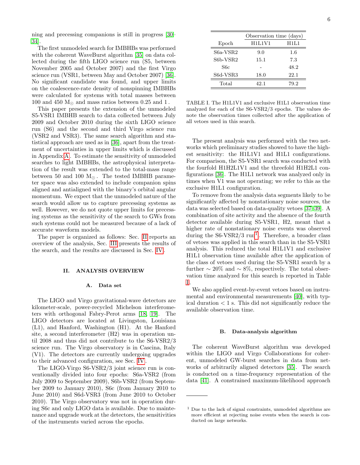ning and precessing companions is still in progress [\[30–](#page-13-15) [34\]](#page-13-16).

The first unmodeled search for IMBHBs was performed with the coherent WaveBurst algorithm [\[35\]](#page-13-17) on data collected during the fifth LIGO science run (S5, between November 2005 and October 2007) and the first Virgo science run (VSR1, between May and October 2007) [\[36\]](#page-13-18). No significant candidate was found, and upper limits on the coalescence-rate density of nonspinning IMBHBs were calculated for systems with total masses between 100 and 450  $M_{\odot}$  and mass ratios between 0.25 and 1.

This paper presents the extension of the unmodeled S5-VSR1 IMBHB search to data collected between July 2009 and October 2010 during the sixth LIGO science run (S6) and the second and third Virgo science run (VSR2 and VSR3). The same search algorithm and statistical approach are used as in [\[36\]](#page-13-18), apart from the treatment of uncertainties in upper limits which is discussed in Appendix [A](#page-11-0) . To estimate the sensitivity of unmodeled searches to light IMBHBs, the astrophysical interpretation of the result was extended to the total-mass range between 50 and 100  $M_{\odot}$ . The tested IMBHB parameter space was also extended to include companion spins aligned and antialigned with the binary's orbital angular momentum. We expect that the unmodeled nature of the search would allow us to capture precessing systems as well. However, we do not quote upper limits for precessing systems as the sensitivity of the search to GWs from such systems could not be measured because of a lack of accurate waveform models.

The paper is organized as follows: Sec. [II](#page-5-0) reports an overview of the analysis, Sec. [III](#page-7-0) presents the results of the search, and the results are discussed in Sec. [IV](#page-10-0) .

#### <span id="page-5-0"></span>II. ANALYSIS OVERVIEW

#### A. Data set

The LIGO and Virgo gravitational-wave detectors are kilometer-scale, power-recycled Michelson interferometers with orthogonal Fabry-Perot arms [\[18,](#page-13-8) [19\]](#page-13-9). The LIGO detectors are located at Livingston, Louisiana (L1), and Hanford, Washington (H1). At the Hanford site, a second interferometer (H2) was in operation until 2008 and thus did not contribute to the S6-VSR2/3 science run. The Virgo observatory is in Cascina, Italy (V1). The detectors are currently undergoing upgrades to their advanced configuration, see Sec. [IV](#page-10-0) .

The LIGO-Virgo S6-VSR2/3 joint science run is conventionally divided into four epochs: S6a-VSR2 (from July 2009 to September 2009), S6b-VSR2 (from September 2009 to January 2010), S6c (from January 2010 to June 2010) and S6d-VSR3 (from June 2010 to October 2010). The Virgo observatory was not in operation during S6c and only LIGO data is available. Due to maintenance and upgrade work at the detectors, the sensitivities of the instruments varied across the epochs.

|          | Observation time (days) |      |  |
|----------|-------------------------|------|--|
| Epoch    | H1L1V1                  | H1L1 |  |
| S6a-VSR2 | 9.0                     | 1.6  |  |
| S6b-VSR2 | 15.1                    | 7.3  |  |
| S6c      |                         | 48.2 |  |
| S6d-VSR3 | 18.0                    | 22.1 |  |
| Total    | 42.1                    | 79.2 |  |

<span id="page-5-2"></span>TABLE I. The H1L1V1 and exclusive H1L1 observation time analyzed for each of the S6-VSR2/3 epochs. The values denote the observation times collected after the application of all vetoes used in this search.

The present analysis was performed with the two networks which preliminary studies showed to have the highest sensitivity: the H1L1V1 and H1L1 configurations. For comparison, the S5-VSR1 search was conducted with the fourfold H1H2L1V1 and the threefold H1H2L1 configurations [\[36\]](#page-13-18). The H1L1 network was analyzed only in times when V1 was not operating; we refer to this as the exclusive H1L1 configuration.

To remove from the analysis data segments likely to be significantly affected by nonstationary noise sources, the data was selected based on data-quality vetoes [\[37–](#page-13-19)[39\]](#page-13-20). A combination of site activity and the absence of the fourth detector available during S5-VSR1, H2, meant that a higher rate of nonstationary noise events was observed during the  $S6\text{-VSR2}/3 \text{ run}^1$  $S6\text{-VSR2}/3 \text{ run}^1$ . Therefore, a broader class of vetoes was applied in this search than in the S5-VSR1 analysis. This reduced the total H1L1V1 and exclusive H1L1 observation time available after the application of the class of vetoes used during the S5-VSR1 search by a further  $\sim 20\%$  and  $\sim 8\%$ , respectively. The total observation time analyzed for this search is reported in Table [I](#page-5-2) .

We also applied event-by-event vetoes based on instrumental and environmental measurements [\[40\]](#page-13-21), with typical duration  $< 1$  s. This did not significantly reduce the available observation time.

#### B. Data-analysis algorithm

The coherent WaveBurst algorithm was developed within the LIGO and Virgo Collaborations for coherent, unmodeled GW-burst searches in data from networks of arbitrarily aligned detectors [\[35\]](#page-13-17). The search is conducted on a time-frequency representation of the data [\[41\]](#page-13-22). A constrained maximum-likelihood approach

<span id="page-5-1"></span><sup>1</sup> Due to the lack of signal constraints, unmodeled algorithms are more efficient at rejecting noise events when the search is conducted on large networks.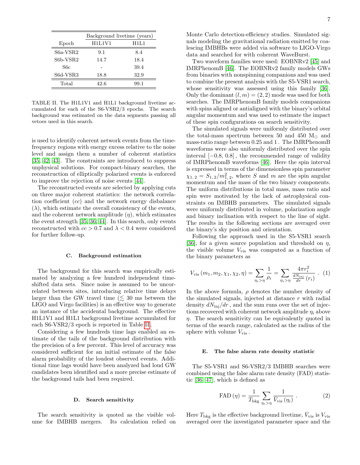|            | Background livetime (years) |      |  |
|------------|-----------------------------|------|--|
| Epoch      | H1L1V1                      | H1L1 |  |
| $S6a-VSR2$ | 9.1                         | 8.4  |  |
| S6b-VSR2   | 14.7                        | 18.4 |  |
| S6c        |                             | 39.4 |  |
| S6d-VSR3   | 18.8                        | 32.9 |  |
| Total      | 42.6                        | 99.1 |  |

<span id="page-6-0"></span>TABLE II. The H1L1V1 and H1L1 background livetime accumulated for each of the S6-VSR2/3 epochs. The search background was estimated on the data segments passing all vetoes used in this search.

is used to identify coherent network events from the timefrequency regions with energy excess relative to the noise level and assign them a number of coherent statistics [\[35,](#page-13-17) [42,](#page-13-23) [43\]](#page-13-24). The constraints are introduced to suppress unphysical solutions. For compact-binary searches, the reconstruction of elliptically polarized events is enforced to improve the rejection of noise events [\[44\]](#page-13-25).

The reconstructed events are selected by applying cuts on three major coherent statistics: the network correlation coefficient (cc) and the network energy disbalance  $(\lambda)$ , which estimate the overall consistency of the events, and the coherent network amplitude  $(\eta)$ , which estimates the event strength [\[35,](#page-13-17) [36,](#page-13-18) [44\]](#page-13-25). In this search, only events reconstructed with  $cc > 0.7$  and  $\lambda < 0.4$  were considered for further follow-up.

#### C. Background estimation

The background for this search was empirically estimated by analyzing a few hundred independent timeshifted data sets. Since noise is assumed to be uncorrelated between sites, introducing relative time delays larger than the GW travel time ( $\lesssim$  30 ms between the LIGO and Virgo facilities) is an effective way to generate an instance of the accidental background. The effective H1L1V1 and H1L1 background livetime accumulated for each S6-VSR2/3 epoch is reported in Table [II](#page-6-0) .

Considering a few hundreds time lags enabled an estimate of the tails of the background distribution with the precision of a few percent. This level of accuracy was considered sufficient for an initial estimate of the false alarm probability of the loudest observed events. Additional time lags would have been analyzed had loud GW candidates been identified and a more precise estimate of the background tails had been required.

### D. Search sensitivity

The search sensitivity is quoted as the visible volume for IMBHB mergers. Its calculation relied on Monte Carlo detection-efficiency studies. Simulated signals modeling the gravitational radiation emitted by coalescing IMBHBs were added via software to LIGO-Virgo data and searched for with coherent WaveBurst.

Two waveform families were used: EOBNRv2 [\[45\]](#page-14-0) and IMRPhenomB [\[46\]](#page-14-1). The EOBNRv2 family models GWs from binaries with nonspinning companions and was used to combine the present analysis with the S5-VSR1 search, whose sensitivity was assessed using this family [\[36\]](#page-13-18). Only the dominant  $(l, m) = (2, 2)$  mode was used for both searches. The IMRPhenomB family models companions with spins aligned or antialigned with the binary's orbital angular momentum and was used to estimate the impact of these spin configurations on search sensitivity.

The simulated signals were uniformly distributed over the total-mass spectrum between 50 and 450  $M_{\odot}$  and mass-ratio range between 0.25 and 1 . The IMRPhenomB waveforms were also uniformly distributed over the spin interval  $[-0.8, 0.8]$ , the recommended range of validity of IMRPhenomB waveforms [\[46\]](#page-14-1). Here the spin interval is expressed in terms of the dimensionless spin parameter  $\chi_{1,2} = S_{1,2}/m_{1,2}^2$ , where S and m are the spin angular momentum and the mass of the two binary components. The uniform distributions in total mass, mass ratio and spin were motivated by the lack of astrophysical constraints on IMBHB parameters. The simulated signals were uniformly distributed in volume, polarization angle and binary inclination with respect to the line of sight. The results in the following sections are averaged over the binary's sky position and orientation.

Following the approach used in the S5-VSR1 search [\[36\]](#page-13-18), for a given source population and threshold on  $\eta$ , the visible volume  $V_{\text{vis}}$  was computed as a function of the binary parameters as

$$
V_{\rm vis}(m_1, m_2, \chi_1, \chi_2, \eta) = \sum_{\eta_i > \eta} \frac{1}{\rho_i} = \sum_{\eta_i > \eta} \frac{4\pi r_i^2}{\frac{dN_{\rm inj}}{dr}(r_i)} . (1)
$$

In the above formula,  $\rho$  denotes the number density of the simulated signals, injected at distance  $r$  with radial density  $dN_{\text{ini}}/dr$ , and the sum runs over the set of injections recovered with coherent network amplitude  $\eta_i$  above  $\eta$ . The search sensitivity can be equivalently quoted in terms of the search range, calculated as the radius of the sphere with volume  $V_{\text{vis}}$ .

#### E. The false alarm rate density statistic

The S5-VSR1 and S6-VSR2/3 IMBHB searches were combined using the false alarm rate density (FAD) statistic [\[36,](#page-13-18) [47\]](#page-14-2), which is defined as

<span id="page-6-1"></span>FAD 
$$
(\eta)
$$
 =  $\frac{1}{T_{\text{bkg}}}\sum_{\eta_i > \eta} \frac{1}{\bar{V}_{\text{vis}}(\eta_i)}$ . (2)

Here  $T_{\text{bkg}}$  is the effective background livetime,  $\bar{V}_{\text{vis}}$  is  $V_{\text{vis}}$ averaged over the investigated parameter space and the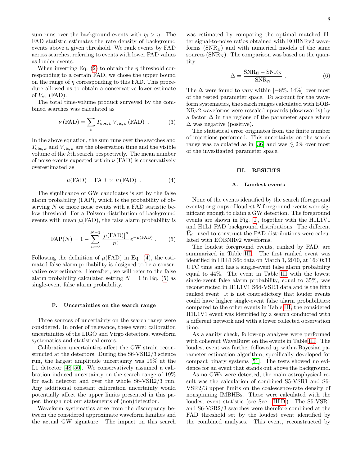sum runs over the background events with  $\eta_i > \eta$ . The FAD statistic estimates the rate density of background events above a given threshold. We rank events by FAD across searches, referring to events with lower FAD values as louder events.

When inverting Eq. [\(2\)](#page-6-1) to obtain the  $\eta$  threshold corresponding to a certain FAD, we chose the upper bound on the range of  $\eta$  corresponding to this FAD. This procedure allowed us to obtain a conservative lower estimate of  $V_{\text{vis}}$  (FAD).

The total time-volume product surveyed by the combined searches was calculated as

$$
\nu\left(\text{FAD}\right) = \sum_{k} T_{\text{obs},\,k} V_{\text{vis},\,k}\left(\text{FAD}\right) \,. \tag{3}
$$

In the above equation, the sum runs over the searches and  $T_{\text{obs}, k}$  and  $V_{\text{vis}, k}$  are the observation time and the visible volume of the kth search, respectively. The mean number of noise events expected within  $\nu$  (FAD) is conservatively overestimated as

<span id="page-7-1"></span>
$$
\mu(\text{FAD}) = \text{FAD} \times \nu(\text{FAD}) \tag{4}
$$

The significance of GW candidates is set by the false alarm probability (FAP), which is the probability of observing  $N$  or more noise events with a FAD statistic below threshold. For a Poisson distribution of background events with mean  $\mu$ (FAD), the false alarm probability is

<span id="page-7-2"></span>
$$
FAP(N) = 1 - \sum_{n=0}^{N-1} \frac{\left[\mu(\text{FAD})\right]^n}{n!} e^{-\mu(\text{FAD})} . \tag{5}
$$

Following the definition of  $\mu$ (FAD) in Eq. [\(4\)](#page-7-1), the estimated false alarm probability is designed to be a conservative overestimate. Hereafter, we will refer to the false alarm probability calculated setting  $N = 1$  in Eq. [\(5\)](#page-7-2) as single-event false alarm probability.

#### <span id="page-7-3"></span>F. Uncertainties on the search range

Three sources of uncertainty on the search range were considered. In order of relevance, these were: calibration uncertainties of the LIGO and Virgo detectors, waveform systematics and statistical errors.

Calibration uncertainties affect the GW strain reconstructed at the detectors. During the S6-VSR2/3 science run, the largest amplitude uncertainty was 19% at the L1 detector [\[48](#page-14-3)[–50\]](#page-14-4). We conservatively assumed a calibration induced uncertainty on the search range of 19% for each detector and over the whole S6-VSR2/3 run. Any additional constant calibration uncertainty would potentially affect the upper limits presented in this paper, though not our statements of (non)detection.

Waveform systematics arise from the discrepancy between the considered approximate waveform families and the actual GW signature. The impact on this search was estimated by comparing the optimal matched filter signal-to-noise ratios obtained with EOBNRv2 waveforms  $(SNR<sub>E</sub>)$  and with numerical models of the same sources  $(SNR_N)$ . The comparison was based on the quantity

$$
\Delta = \frac{\text{SNR}_{\text{E}} - \text{SNR}_{\text{N}}}{\text{SNR}_{\text{N}}} \,. \tag{6}
$$

The  $\Delta$  were found to vary within [−8%, 14%] over most of the tested parameter space. To account for the waveform systematics, the search ranges calculated with EOB-NRv2 waveforms were rescaled upwards (downwards) by a factor  $\Delta$  in the regions of the parameter space where  $\Delta$  was negative (positive).

The statistical error originates from the finite number of injections performed. This uncertainty on the search range was calculated as in [\[36\]](#page-13-18) and was  $\lesssim 2\%$  over most of the investigated parameter space.

### <span id="page-7-0"></span>III. RESULTS

#### <span id="page-7-4"></span>A. Loudest events

None of the events identified by the search (foreground events) or groups of loudest N foreground events were significant enough to claim a GW detection. The foreground events are shown in Fig. [1](#page-8-0) , together with the H1L1V1 and H1L1 FAD background distributions. The different  $\bar{V}_{\text{vis}}$  used to construct the FAD distributions were calculated with EOBNRv2 waveforms.

The loudest foreground events, ranked by FAD, are summarized in Table [III](#page-8-1). The first ranked event was identified in H1L1 S6c data on March 1, 2010, at 16:40:33 UTC time and has a single-event false alarm probability equal to 44%. The event in Table [III](#page-8-1) with the lowest single-event false alarm probability, equal to 35%, was reconstructed in H1L1V1 S6d-VSR3 data and is the fifth ranked event. It is not contradictory that louder events could have higher single-event false alarm probabilities: compared to the other events in Table [III,](#page-8-1) the considered H1L1V1 event was identified by a search conducted with a different network and with a lower collected observation time.

As a sanity check, follow-up analyses were performed with coherent WaveBurst on the events in Table [III](#page-8-1) . The loudest event was further followed up with a Bayesian parameter estimation algorithm, specifically developed for compact binary systems [\[51\]](#page-14-5). The tests showed no evidence for an event that stands out above the background.

As no GWs were detected, the main astrophysical result was the calculation of combined S5-VSR1 and S6- VSR2/3 upper limits on the coalescence-rate density of nonspinning IMBHBs. These were calculated with the loudest event statistic (see Sec. [III D](#page-10-1)). The S5-VSR1 and S6-VSR2/3 searches were therefore combined at the FAD threshold set by the loudest event identified by the combined analyses. This event, reconstructed by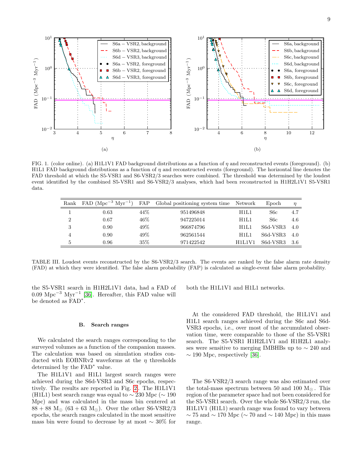9



<span id="page-8-0"></span>FIG. 1. (color online). (a) H1L1V1 FAD background distributions as a function of  $\eta$  and reconstructed events (foreground). (b) H1L1 FAD background distributions as a function of  $\eta$  and reconstructed events (foreground). The horizontal line denotes the FAD threshold at which the S5-VSR1 and S6-VSR2/3 searches were combined. The threshold was determined by the loudest event identified by the combined S5-VSR1 and S6-VSR2/3 analyses, which had been reconstructed in H1H2L1V1 S5-VSR1 data.

| Rank         | $FAD (Mpc-3 Myr-1)$ | FAP    | Global positioning system time | Network | Epoch            | $\eta$ |
|--------------|---------------------|--------|--------------------------------|---------|------------------|--------|
|              | 0.63                | 44%    | 951496848                      | H1L1    | S <sub>6</sub> c | 4.7    |
| ച            | 0.67                | $46\%$ | 947225014                      | H1L1    | S6c              | 4.6    |
| 3            | 0.90                | 49%    | 966874796                      | H1L1    | S6d-VSR3         | 4.0    |
|              | 0.90                | 49%    | 962561544                      | H1L1    | S6d-VSR3         | 4.0    |
| $\mathbf{b}$ | 0.96                | $35\%$ | 971422542                      | H1L1V1  | S6d-VSR3         | -3.6   |

<span id="page-8-1"></span>TABLE III. Loudest events reconstructed by the S6-VSR2/3 search. The events are ranked by the false alarm rate density (FAD) at which they were identified. The false alarm probability (FAP) is calculated as single-event false alarm probability.

the S5-VSR1 search in H1H2L1V1 data, had a FAD of  $0.09 \text{ Mpc}^{-3} \text{ Myr}^{-1}$  [\[36\]](#page-13-18). Hereafter, this FAD value will be denoted as FAD<sup>∗</sup> .

#### <span id="page-8-2"></span>B. Search ranges

We calculated the search ranges corresponding to the surveyed volumes as a function of the companion masses. The calculation was based on simulation studies conducted with EOBNRv2 waveforms at the  $\eta$  thresholds determined by the FAD<sup>∗</sup> value.

The H1L1V1 and H1L1 largest search ranges were achieved during the S6d-VSR3 and S6c epochs, respectively. The results are reported in Fig. [2](#page-9-0) . The H1L1V1 (H1L1) best search range was equal to  $\sim 230$  Mpc ( $\sim 190$ ) Mpc) and was calculated in the mass bin centered at  $88 + 88$  M<sub> $\odot$ </sub>  $(63 + 63$  M<sub> $\odot$ </sub>). Over the other S6-VSR2/3 epochs, the search ranges calculated in the most sensitive mass bin were found to decrease by at most  $\sim 30\%$  for both the H1L1V1 and H1L1 networks.

At the considered FAD threshold, the H1L1V1 and H1L1 search ranges achieved during the S6c and S6d-VSR3 epochs, i.e., over most of the accumulated observation time, were comparable to those of the S5-VSR1 search. The S5-VSR1 H1H2L1V1 and H1H2L1 analyses were sensitive to merging IMBHBs up to ∼ 240 and  $\sim$  190 Mpc, respectively [\[36\]](#page-13-18).

The S6-VSR2/3 search range was also estimated over the total-mass spectrum between 50 and 100  $M_{\odot}$ . This region of the parameter space had not been considered for the S5-VSR1 search. Over the whole S6-VSR2/3 run, the H1L1V1 (H1L1) search range was found to vary between  $\sim$  75 and  $\sim$  170 Mpc ( $\sim$  70 and  $\sim$  140 Mpc) in this mass range.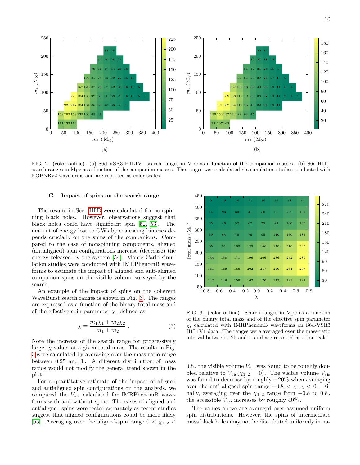

<span id="page-9-0"></span>FIG. 2. (color online). (a) S6d-VSR3 H1L1V1 search ranges in Mpc as a function of the companion masses. (b) S6c H1L1 search ranges in Mpc as a function of the companion masses. The ranges were calculated via simulation studies conducted with EOBNRv2 waveforms and are reported as color scales.

#### C. Impact of spins on the search range

The results in Sec. [III B](#page-8-2) were calculated for nonspinning black holes. However, observations suggest that black holes could have significant spin [\[52,](#page-14-6) [53\]](#page-14-7). The amount of energy lost to GWs by coalescing binaries depends crucially on the spins of the companions. Compared to the case of nonspinning components, aligned (antialigned) spin configurations increase (decrease) the energy released by the system [\[54\]](#page-14-8). Monte Carlo simulation studies were conducted with IMRPhenomB waveforms to estimate the impact of aligned and anti-aligned companion spins on the visible volume surveyed by the search.

An example of the impact of spins on the coherent WaveBurst search ranges is shown in Fig. [3](#page-9-1) . The ranges are expressed as a function of the binary total mass and of the effective spin parameter  $\chi$ , defined as

$$
\chi = \frac{m_1 \chi_1 + m_2 \chi_2}{m_1 + m_2} \ . \tag{7}
$$

Note the increase of the search range for progressively larger  $\chi$  values at a given total mass. The results in Fig. were calculated by averaging over the mass-ratio range between 0.25 and 1 . A different distribution of mass ratios would not modify the general trend shown in the plot.

For a quantitative estimate of the impact of aligned and antialigned spin configurations on the analysis, we compared the  $\bar{V}_{\text{vis}}$  calculated for IMRPhenomB waveforms with and without spins. The cases of aligned and antialigned spins were tested separately as recent studies suggest that aligned configurations could be more likely [\[55\]](#page-14-9). Averaging over the aligned-spin range  $0 < \chi_{1,2} <$ 



<span id="page-9-1"></span>FIG. 3. (color online). Search ranges in Mpc as a function of the binary total mass and of the effective spin parameter  $\chi$ , calculated with IMRPhenomB waveforms on S6d-VSR3 H1L1V1 data. The ranges were averaged over the mass-ratio interval between 0.25 and 1 and are reported as color scale.

 $0.8\,,$  the visible volume  $\bar V_{\rm vis}$  was found to be roughly doubled relative to  $\bar{V}_{vis}(\chi_{1,2}=0)$ . The visible volume  $\bar{V}_{vis}$ was found to decrease by roughly  $-20\%$  when averaging over the anti-aligned spin range  $-0.8 < \chi_{1,2} < 0$ . Finally, averaging over the  $\chi_{1,2}$  range from  $-0.8$  to  $0.8$ , the accessible  $\bar{V}_{\text{vis}}$  increases by roughly 40%.

The values above are averaged over assumed uniform spin distributions. However, the spins of intermediate mass black holes may not be distributed uniformly in na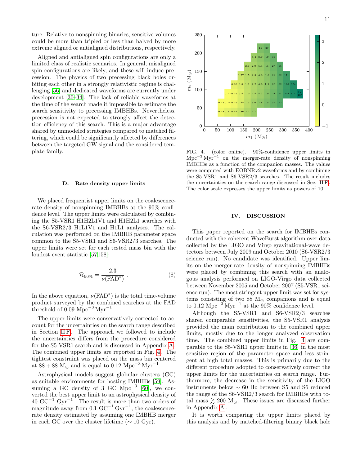ture. Relative to nonspinning binaries, sensitive volumes could be more than tripled or less than halved by more extreme aligned or antialigned distributions, respectively.

Aligned and antialigned spin configurations are only a limited class of realistic scenarios. In general, misaligned spin configurations are likely, and these will induce precession. The physics of two precessing black holes orbiting each other in a strongly relativistic regime is challenging [\[56\]](#page-14-10) and dedicated waveforms are currently under development [\[30](#page-13-15)[–34\]](#page-13-16). The lack of reliable waveforms at the time of the search made it impossible to estimate the search sensitivity to precessing IMBHBs. Nevertheless, precession is not expected to strongly affect the detection efficiency of this search. This is a major advantage shared by unmodeled strategies compared to matched filtering, which could be significantly affected by differences between the targeted GW signal and the considered template family.

### <span id="page-10-1"></span>D. Rate density upper limits

We placed frequentist upper limits on the coalescencerate density of nonspinning IMBHBs at the 90% confidence level. The upper limits were calculated by combining the S5-VSR1 H1H2L1V1 and H1H2L1 searches with the S6-VSR2/3 H1L1V1 and H1L1 analyses. The calculation was performed on the IMBHB parameter space common to the S5-VSR1 and S6-VSR2/3 searches. The upper limits were set for each tested mass bin with the loudest event statistic [\[57,](#page-14-11) [58\]](#page-14-12):

<span id="page-10-3"></span>
$$
\mathcal{R}_{90\%} = \frac{2.3}{\nu(\text{FAD}^*)} \ . \tag{8}
$$

In the above equation,  $\nu(\text{FAD}^*)$  is the total time-volume product surveyed by the combined searches at the FAD threshold of 0.09 Mpc<sup>-3</sup> Myr<sup>-1</sup>.

The upper limits were conservatively corrected to account for the uncertainties on the search range described in Section IIF. The approach we followed to include the uncertainties differs from the procedure considered for the S5-VSR1 search and is discussed in Appendix [A](#page-11-0) . The combined upper limits are reported in Fig. [4](#page-10-2) . The tightest constraint was placed on the mass bin centered at  $88 + 88$  M<sub>☉</sub> and is equal to 0.12 Mpc<sup>-3</sup> Myr<sup>-1</sup>.

Astrophysical models suggest globular clusters (GC) as suitable environments for hosting IMBHBs [\[59\]](#page-14-13). As-suming a GC density of 3 GC Mpc<sup>-3</sup> [\[60\]](#page-14-14), we converted the best upper limit to an astrophysical density of  $40 \text{ GC}^{-1} \text{ Gyr}^{-1}$ . The result is more than two orders of magnitude away from 0.1  $\text{GC}^{-1}$  Gyr<sup>-1</sup>, the coalescencerate density estimated by assuming one IMBHB merger in each GC over the cluster lifetime ( $\sim 10 \text{ Gyr}$ ).



<span id="page-10-2"></span>FIG. 4. (color online). 90%-confidence upper limits in Mpc<sup>-3</sup> Myr<sup>-1</sup> on the merger-rate density of nonspinning IMBHBs as a function of the companion masses. The values were computed with EOBNRv2 waveforms and by combining the S5-VSR1 and S6-VSR2/3 searches. The result includes the uncertainties on the search range discussed in Sec. [II F](#page-7-3) . The color scale expresses the upper limits as powers of 10 .

### <span id="page-10-0"></span>IV. DISCUSSION

This paper reported on the search for IMBHBs conducted with the coherent WaveBurst algorithm over data collected by the LIGO and Virgo gravitational-wave detectors between July 2009 and October 2010 (S6-VSR2/3 science run). No candidate was identified. Upper limits on the merger-rate density of nonspinning IMBHBs were placed by combining this search with an analogous analysis performed on LIGO-Virgo data collected between November 2005 and October 2007 (S5-VSR1 science run). The most stringent upper limit was set for systems consisting of two 88  $M_{\odot}$  companions and is equal to 0.12 Mpc<sup>-3</sup>Myr<sup>-1</sup> at the 90% confidence level.

Although the S5-VSR1 and S6-VSR2/3 searches shared comparable sensitivities, the S5-VSR1 analysis provided the main contribution to the combined upper limits, mostly due to the longer analyzed observation time. The combined upper limits in Fig. [4](#page-10-2) are comparable to the S5-VSR1 upper limits in [\[36\]](#page-13-18) in the most sensitive region of the parameter space and less stringent at high total masses. This is primarily due to the different procedure adopted to conservatively correct the upper limits for the uncertainties on search range. Furthermore, the decrease in the sensitivity of the LIGO instruments below ∼ 60 Hz between S5 and S6 reduced the range of the S6-VSR2/3 search for IMBHBs with total mass  $\geq 200$  M<sub>o</sub>. These issues are discussed further in Appendix [A](#page-11-0) .

It is worth comparing the upper limits placed by this analysis and by matched-filtering binary black hole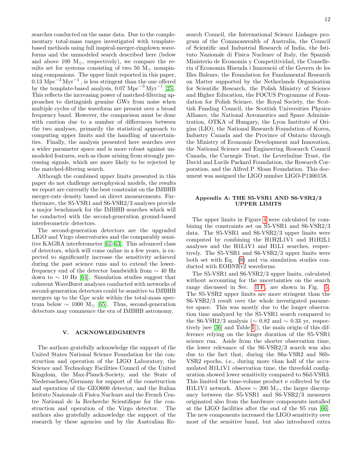searches conducted on the same data. Due to the complementary total-mass ranges investigated with templatebased methods using full inspiral-merger-ringdown waveforms and the unmodeled search described here (below and above 100  $M_{\odot}$ , respectively), we compare the results set for systems consisting of two 50  $M_{\odot}$  nonspinning companions. The upper limit reported in this paper, 0.13 Mpc−<sup>3</sup> Myr−<sup>1</sup> , is less stringent than the one offered by the template-based analysis,  $0.07 \text{ Mpc}^{-3} \text{ Myr}^{-1}$  [\[25\]](#page-13-26). This reflects the increasing power of matched-filtering approaches to distinguish genuine GWs from noise when multiple cycles of the waveform are present over a broad frequency band. However, the comparison must be done with caution due to a number of differences between the two analyses, primarily the statistical approach to computing upper limits and the handling of uncertainties. Finally, the analysis presented here searches over a wider parameter space and is more robust against unmodeled features, such as those arising from strongly precessing signals, which are more likely to be rejected by the matched-filtering search.

Although the combined upper limits presented in this paper do not challenge astrophysical models, the results we report are currently the best constraint on the IMBHB merger-rate density based on direct measurements. Furthermore, the S5-VSR1 and S6-VSR2/3 analyses provide a major benchmark for the IMBHB searches which will be conducted with the second-generation ground-based interferometric detectors.

The second-generation detectors are the upgraded LIGO and Virgo observatories and the comparably sensitive KAGRA interferometer [\[61–](#page-14-15)[63\]](#page-14-16). This advanced class of detectors, which will come online in a few years, is expected to significantly increase the sensitivity achieved during the past science runs and to extend the lowerfrequency end of the detector bandwidth from ∼ 40 Hz down to  $\sim$  10 Hz [\[64\]](#page-14-17). Simulation studies suggest that coherent WaveBurst analyses conducted with networks of second-generation detectors could be sensitive to IMBHB mergers up to the Gpc scale within the total-mass spectrum below  $\sim 1000 \; \text{M}_\odot$  [\[65\]](#page-14-18). Thus, second-generation detectors may commence the era of IMBHB astronomy.

### V. ACKNOWLEDGMENTS

The authors gratefully acknowledge the support of the United States National Science Foundation for the construction and operation of the LIGO Laboratory, the Science and Technology Facilities Council of the United Kingdom, the Max-Planck-Society, and the State of Niedersachsen/Germany for support of the construction and operation of the GEO600 detector, and the Italian Istituto Nazionale di Fisica Nucleare and the French Centre National de la Recherche Scientifique for the construction and operation of the Virgo detector. The authors also gratefully acknowledge the support of the research by these agencies and by the Australian Research Council, the International Science Linkages program of the Commonwealth of Australia, the Council of Scientific and Industrial Research of India, the Istituto Nazionale di Fisica Nucleare of Italy, the Spanish Ministerio de Economía y Competitividad, the Conselleria d'Economia Hisenda i Innovació of the Govern de les Illes Balears, the Foundation for Fundamental Research on Matter supported by the Netherlands Organisation for Scientific Research, the Polish Ministry of Science and Higher Education, the FOCUS Programme of Foundation for Polish Science, the Royal Society, the Scottish Funding Council, the Scottish Universities Physics Alliance, the National Aeronautics and Space Administration, OTKA of Hungary, the Lyon Institute of Origins (LIO), the National Research Foundation of Korea, Industry Canada and the Province of Ontario through the Ministry of Economic Development and Innovation, the National Science and Engineering Research Council Canada, the Carnegie Trust, the Leverhulme Trust, the David and Lucile Packard Foundation, the Research Corporation, and the Alfred P. Sloan Foundation. This document was assigned the LIGO number LIGO-P1300158.

## <span id="page-11-0"></span>Appendix A: THE S5-VSR1 AND S6-VSR2/3 UPPER LIMITS

The upper limits in Figure [4](#page-10-2) were calculated by combining the constraints set on S5-VSR1 and S6-VSR2/3 data. The S5-VSR1 and S6-VSR2/3 upper limits were computed by combining the H1H2L1V1 and H1H2L1 analyses and the H1L1V1 and H1L1 searches, respectively. The S5-VSR1 and S6-VSR2/3 upper limits were both set with Eq. [\(8\)](#page-10-3) and via simulation studies conducted with EOBNRv2 waveforms.

The S5-VSR1 and S6-VSR2/3 upper limits, calculated without accounting for the uncertainties on the search range discussed in Sec. IIF, are shown in Fig. [5](#page-12-0). The S5-VSR2 upper limits are more stringent than the S6-VSR2/3 result over the whole investigated parameter space. This was mostly due to the longer observation time analyzed by the S5-VSR1 search compared to the S6-VSR2/3 analysis ( $\sim 0.82$  and  $\sim 0.33$  yr, respec-tively [see [\[36\]](#page-13-18) and Table [I](#page-5-2)]), the main origin of this difference relying on the longer duration of the S5-VSR1 science run. Aside from the shorter observation time, the lower relevance of the S6-VSR2/3 search was also due to the fact that, during the S6a-VSR2 and S6b-VSR2 epochs, i.e., during more than half of the accumulated H1L1V1 observation time, the threefold configuration showed lower sensitivity compared to S6d-VSR3. This limited the time-volume product  $\nu$  collected by the H1L1V1 network. Above  $\sim 200 \, \text{M}_{\odot}$ , the larger discrepancy between the S5-VSR1 and S6-VSR2/3 measures originated also from the hardware components installed at the LIGO facilities after the end of the S5 run [\[66\]](#page-14-19). The new components increased the LIGO sensitivity over most of the sensitive band, but also introduced extra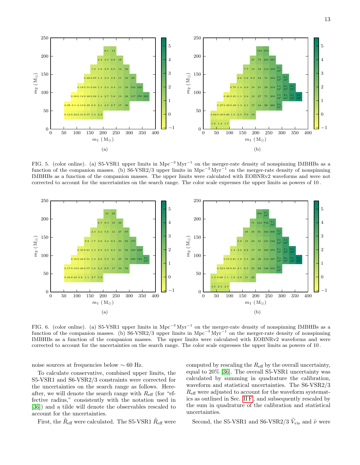

<span id="page-12-0"></span>FIG. 5. (color online). (a) S5-VSR1 upper limits in Mpc<sup>-3</sup> Myr<sup>-1</sup> on the merger-rate density of nonspinning IMBHBs as a function of the companion masses. (b) S6-VSR2/3 upper limits in Mpc<sup>-3</sup> Myr<sup>-1</sup> on the merger-rate density of nonspinning IMBHBs as a function of the companion masses. The upper limits were calculated with EOBNRv2 waveforms and were not corrected to account for the uncertainties on the search range. The color scale expresses the upper limits as powers of 10 .



<span id="page-12-1"></span>FIG. 6. (color online). (a) S5-VSR1 upper limits in Mpc<sup>-3</sup> Myr<sup>-1</sup> on the merger-rate density of nonspinning IMBHBs as a function of the companion masses. (b) S6-VSR2/3 upper limits in Mpc<sup>-3</sup> Myr<sup>-1</sup> on the merger-rate density of nonspinning IMBHBs as a function of the companion masses. The upper limits were calculated with EOBNRv2 waveforms and were corrected to account for the uncertainties on the search range. The color scale expresses the upper limits as powers of 10 .

noise sources at frequencies below ∼ 60 Hz.

To calculate conservative, combined upper limits, the S5-VSR1 and S6-VSR2/3 constraints were corrected for the uncertainties on the search range as follows. Hereafter, we will denote the search range with  $R_{\text{eff}}$  (for "effective radius," consistently with the notation used in [\[36\]](#page-13-18)) and a tilde will denote the observables rescaled to account for the uncertainties.

computed by rescaling the  $R_{\text{eff}}$  by the overall uncertainty, equal to 20% [\[36\]](#page-13-18). The overall S5-VSR1 uncertainty was calculated by summing in quadrature the calibration, waveform and statistical uncertainties. The S6-VSR2/3  $R_{\text{eff}}$  were adjusted to account for the waveform systematics as outlined in Sec. [II F](#page-7-3) , and subsequently rescaled by the sum in quadrature of the calibration and statistical uncertainties.

First, the  $\tilde{R}_{\text{eff}}$  were calculated. The S5-VSR1  $\tilde{R}_{\text{eff}}$  were

Second, the S5-VSR1 and S6-VSR2/3  $\tilde{V}_{\mathrm{vis}}$  and  $\tilde{\nu}$  were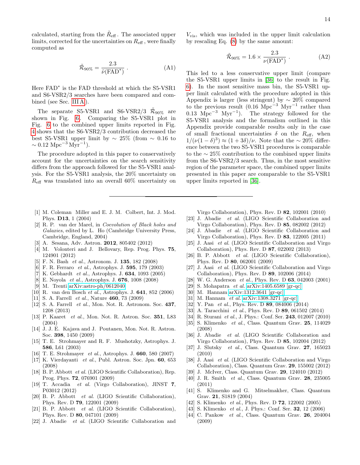calculated, starting from the  $\tilde{R}_{\text{eff}}$ . The associated upper limits, corrected for the uncertainties on  $R_{\text{eff}}$ , were finally computed as

$$
\tilde{\mathcal{R}}_{90\%} = \frac{2.3}{\tilde{\nu}(\text{FAD}^*)} \ . \tag{A1}
$$

Here  $FAD^*$  is the FAD threshold at which the S5-VSR1 and S6-VSR2/3 searches have been compared and com-bined (see Sec. [III A](#page-7-4)).

The separate S5-VSR1 and S6-VSR2/3  $\tilde{\mathcal{R}}_{90\%}$  are shown in Fig.  $6$ . Comparing the S5-VSR1 plot in Fig. [6](#page-12-1) to the combined upper limits reported in Fig. [4](#page-10-2) shows that the S6-VSR2/3 contribution decreased the best S5-VSR1 upper limit by  $\sim 25\%$  (from  $\sim 0.16$  to  $\sim 0.12 \text{ Mpc}^{-3} \text{Myr}^{-1}$ ).

The procedure adopted in this paper to conservatively account for the uncertainties on the search sensitivity differs from the approach followed for the S5-VSR1 analysis. For the S5-VSR1 analysis, the 20% uncertainty on  $R_{\text{eff}}$  was translated into an overall 60% uncertainty on

- <span id="page-13-0"></span>[1] M. Coleman Miller and E. J. M. Colbert, Int. J. Mod. Phys. D13, 1 (2004)
- <span id="page-13-1"></span>[2] R. P. van der Marel, in Coevolution of Black holes and Galaxies, edited by L. Ho (Cambridge University Press, Cambridge, England, 2004)
- <span id="page-13-2"></span>[3] A. Sesana, Adv. Astron. 2012, 805402 (2012)
- <span id="page-13-3"></span>[4] M. Volonteri and J. Bellovary, Rep. Prog. Phys. **75**, 124901 (2012)
- <span id="page-13-4"></span>[5] F. N. Bash et al., Astronom. J. 135, 182 (2008)
- [6] F. R. Ferraro *et al.*, Astrophys. J. **595**, 179 (2003)
- [7] K. Gebhardt et al., Astrophys. J. 634, 1093 (2005)
- [8] E. Noyola et al., Astrophys. J. 676, 1008 (2008)
- [9] M. Trenti [arXiv:astro-ph/0612040](http://arxiv.org/abs/astro-ph/0612040)
- <span id="page-13-5"></span>[10] R. van den Bosch et al., Astrophys. J. 641, 852 (2006)
- <span id="page-13-6"></span>[11] S. A. Farrell *et al.*, Nature  $460$ , 73 (2009)
- [12] S. A. Farrell *et al.*, Mon. Not. R. Astronom. Soc. 437, 1208 (2013)
- [13] P. Kaaret et al., Mon. Not. R. Astron. Soc. 351, L83 (2004)
- [14] J. J. E. Kajava and J. Poutanen, Mon. Not. R. Astron. Soc. 398, 1450 (2009)
- [15] T. E. Strohmayer and R. F. Mushotzky, Astrophys. J. 586, L61 (2003)
- [16] T. E. Strohmayer et al., Astrophys. J. 660, 580 (2007)
- <span id="page-13-7"></span>[17] K. Vierdayanti et al., Publ. Astron. Soc. Jpn. 60, 653 (2008)
- <span id="page-13-8"></span>[18] B. P. Abbott et al. (LIGO Scientific Collaboration), Rep. Prog. Phys. 72, 076901 (2009)
- <span id="page-13-9"></span>[19] T. Accadia et al. (Virgo Collaboration), JINST 7, P03012 (2012)
- <span id="page-13-10"></span>[20] B. P. Abbott et al. (LIGO Scientific Collaboration), Phys. Rev. D 79, 122001 (2009)
- [21] B. P. Abbott et al. (LIGO Scientific Collaboration), Phys. Rev. D 80, 047101 (2009)
- [22] J. Abadie et al. (LIGO Scientific Collaboration and

 $V_{\text{vis}}$ , which was included in the upper limit calculation by rescaling Eq. [\(8\)](#page-10-3) by the same amount:

$$
\tilde{\mathcal{R}}_{90\%} = 1.6 \times \frac{2.3}{\nu(\text{FAD}^*)} \ . \tag{A2}
$$

This led to a less conservative upper limit (compare the S5-VSR1 upper limits in [\[36\]](#page-13-18) to the result in Fig. [6\)](#page-12-1). In the most sensitive mass bin, the S5-VSR1 upper limit calculated with the procedure adopted in this Appendix is larger (less stringent) by  $\sim 20\%$  compared to the previous result  $(0.16 \text{ Mpc}^{-3} \text{ Myr}^{-1} \text{ rather than})$ 0.13  $\text{Mpc}^{-3} \text{ Myr}^{-1}$ ). The strategy followed for the S5-VSR1 analysis and the formalism outlined in this Appendix provide comparable results only in the case of small fractional uncertainties  $\delta$  on the  $R_{\text{eff}}$ , when  $1/(\nu(1-\delta)^3) \approx (1+3\delta)/\nu$ . Note that the ~ 20% difference between the two S5-VSR1 procedures is comparable to the ∼ 25% contribution to the combined upper limits from the S6-VSR2/3 search. Thus, in the most sensitive region of the parameter space, the combined upper limits presented in this paper are comparable to the S5-VSR1 upper limits reported in [\[36\]](#page-13-18).

Virgo Collaboration), Phys. Rev. D 82, 102001 (2010)

- [23] J. Abadie et al. (LIGO Scientific Collaboration and Virgo Collaboration), Phys. Rev. D 85, 082002 (2012)
- [24] J. Abadie et al. (LIGO Scientific Collaboration and Virgo Collaboration), Phys. Rev. D 83, 122005 (2011)
- <span id="page-13-26"></span>[25] J. Aasi et al. (LIGO Scientific Collaboration and Virgo Collaboration), Phys. Rev. D 87, 022002 (2013)
- <span id="page-13-11"></span>[26] B. P. Abbott et al. (LIGO Scientific Collaboration), Phys. Rev. D 80, 062001 (2009)
- <span id="page-13-12"></span>[27] J. Aasi et al. (LIGO Scientific Collaboration and Virgo Collaboration), Phys. Rev. D 89, 102006 (2014)
- <span id="page-13-13"></span>[28] W. G. Anderson *et al.*, Phys. Rev. D **63**, 042003 (2001)
- <span id="page-13-14"></span>[29] S. Mohapatra *et al.* [arXiv:1405.6589 \[gr-qc\]](http://arxiv.org/abs/1405.6589)
- <span id="page-13-15"></span>[30] M. Hannam [arXiv:1312.3641 \[gr-qc\]](http://arxiv.org/abs/1312.3641)
- [31] M. Hannam et al. [arXiv:1308.3271 \[gr-qc\]](http://arxiv.org/abs/1308.3271)
- [32] Y. Pan et al., Phys. Rev. D 89, 084006 (2014)
- [33] A. Taracchini et al., Phys. Rev. D 89, 061502 (2014)
- <span id="page-13-16"></span>[34] R. Sturani et al., J. Phys.: Conf. Ser. 243, 012007 (2010)
- <span id="page-13-17"></span>[35] S. Klimenko et al., Class. Quantum Grav. 25, 114029 (2008)
- <span id="page-13-18"></span>[36] J. Abadie et al. (LIGO Scientific Collaboration and Virgo Collaboration), Phys. Rev. D 85, 102004 (2012)
- <span id="page-13-19"></span>[37] J. Slutsky et al., Class. Quantum Grav. 27, 165023 (2010)
- [38] J. Aasi et al. (LIGO Scientific Collaboration and Virgo Collaboration), Class. Quantum Grav. 29, 155002 (2012)
- <span id="page-13-20"></span>[39] J. McIver, Class. Quantum Grav. 29, 124010 (2012)
- <span id="page-13-21"></span>[40] J. R. Smith et al., Class. Quantum Grav. 28, 235005 (2011)
- <span id="page-13-22"></span>[41] S. Klimenko and G. Mitselmakher, Class. Quantum Grav. 21, S1819 (2004)
- <span id="page-13-23"></span>[42] S. Klimenko et al., Phys. Rev. D **72**, 122002 (2005)
- <span id="page-13-24"></span>[43] S. Klimenko *et al.*, J. Phys.: Conf. Ser. **32**, 12 (2006)
- <span id="page-13-25"></span>[44] C. Pankow *et al.*, Class. Quantum Grav. **26**, 204004 (2009)